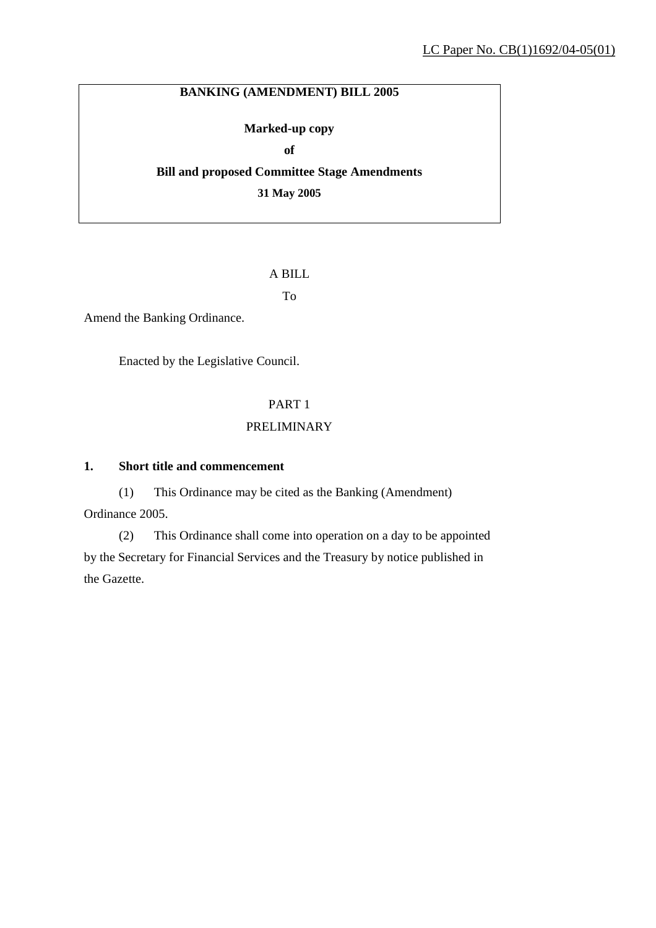# **BANKING (AMENDMENT) BILL 2005**

### **Marked-up copy**

**of** 

**Bill and proposed Committee Stage Amendments 31 May 2005** 

### A BILL

To

Amend the Banking Ordinance.

Enacted by the Legislative Council.

# PART 1

### PRELIMINARY

### **1. Short title and commencement**

(1) This Ordinance may be cited as the Banking (Amendment) Ordinance 2005.

(2) This Ordinance shall come into operation on a day to be appointed by the Secretary for Financial Services and the Treasury by notice published in the Gazette.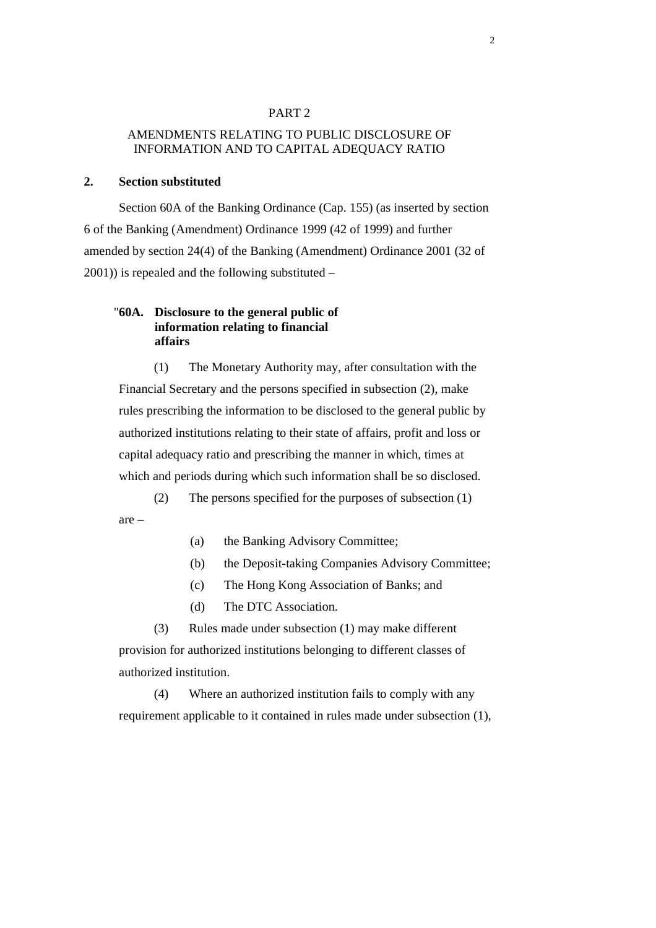#### PART 2

### AMENDMENTS RELATING TO PUBLIC DISCLOSURE OF INFORMATION AND TO CAPITAL ADEQUACY RATIO

### **2. Section substituted**

 Section 60A of the Banking Ordinance (Cap. 155) (as inserted by section 6 of the Banking (Amendment) Ordinance 1999 (42 of 1999) and further amended by section 24(4) of the Banking (Amendment) Ordinance 2001 (32 of 2001)) is repealed and the following substituted –

### "**60A. Disclosure to the general public of information relating to financial affairs**

(1) The Monetary Authority may, after consultation with the Financial Secretary and the persons specified in subsection (2), make rules prescribing the information to be disclosed to the general public by authorized institutions relating to their state of affairs, profit and loss or capital adequacy ratio and prescribing the manner in which, times at which and periods during which such information shall be so disclosed.

(2) The persons specified for the purposes of subsection (1) are –

(a) the Banking Advisory Committee;

- (b) the Deposit-taking Companies Advisory Committee;
- (c) The Hong Kong Association of Banks; and
- (d) The DTC Association.

(3) Rules made under subsection (1) may make different provision for authorized institutions belonging to different classes of authorized institution.

(4) Where an authorized institution fails to comply with any requirement applicable to it contained in rules made under subsection (1),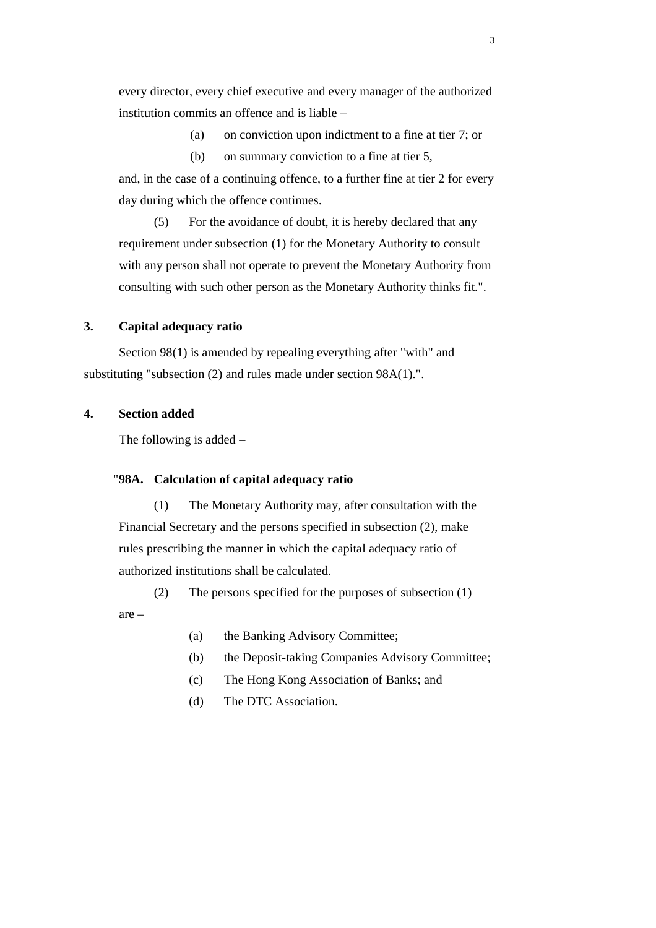every director, every chief executive and every manager of the authorized institution commits an offence and is liable –

(a) on conviction upon indictment to a fine at tier 7; or

(b) on summary conviction to a fine at tier 5,

and, in the case of a continuing offence, to a further fine at tier 2 for every day during which the offence continues.

(5) For the avoidance of doubt, it is hereby declared that any requirement under subsection (1) for the Monetary Authority to consult with any person shall not operate to prevent the Monetary Authority from consulting with such other person as the Monetary Authority thinks fit.".

#### **3. Capital adequacy ratio**

 Section 98(1) is amended by repealing everything after "with" and substituting "subsection (2) and rules made under section 98A(1).".

### **4. Section added**

The following is added –

#### "**98A. Calculation of capital adequacy ratio**

(1) The Monetary Authority may, after consultation with the Financial Secretary and the persons specified in subsection (2), make rules prescribing the manner in which the capital adequacy ratio of authorized institutions shall be calculated.

(2) The persons specified for the purposes of subsection (1) are –

- (a) the Banking Advisory Committee;
- (b) the Deposit-taking Companies Advisory Committee;
- (c) The Hong Kong Association of Banks; and
- (d) The DTC Association.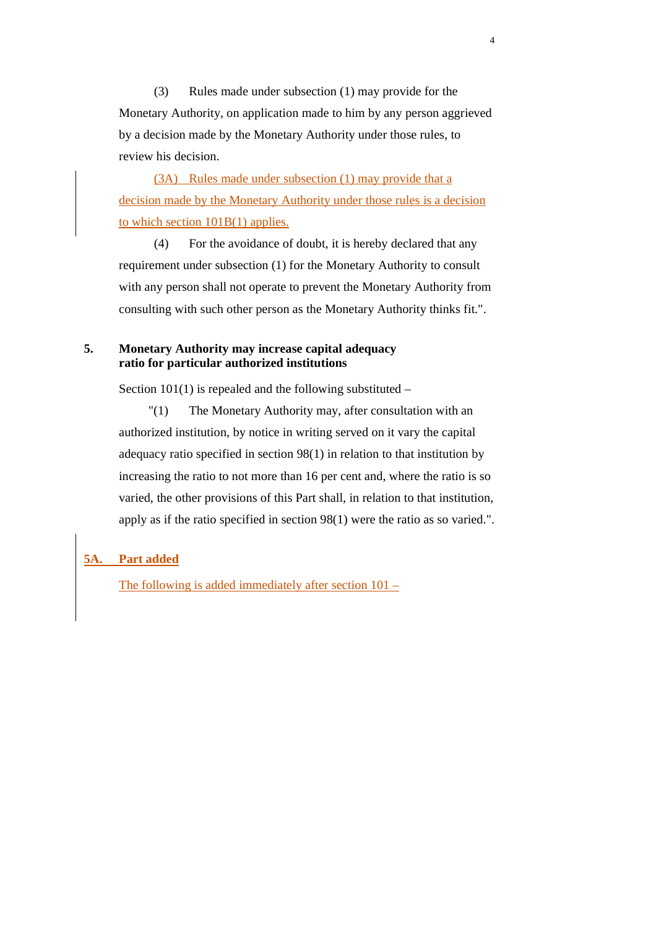(3) Rules made under subsection (1) may provide for the Monetary Authority, on application made to him by any person aggrieved by a decision made by the Monetary Authority under those rules, to review his decision.

(3A) Rules made under subsection (1) may provide that a decision made by the Monetary Authority under those rules is a decision to which section  $101B(1)$  applies.

(4) For the avoidance of doubt, it is hereby declared that any requirement under subsection (1) for the Monetary Authority to consult with any person shall not operate to prevent the Monetary Authority from consulting with such other person as the Monetary Authority thinks fit.".

### **5. Monetary Authority may increase capital adequacy ratio for particular authorized institutions**

Section  $101(1)$  is repealed and the following substituted –

 "(1) The Monetary Authority may, after consultation with an authorized institution, by notice in writing served on it vary the capital adequacy ratio specified in section 98(1) in relation to that institution by increasing the ratio to not more than 16 per cent and, where the ratio is so varied, the other provisions of this Part shall, in relation to that institution, apply as if the ratio specified in section 98(1) were the ratio as so varied.".

### **5A. Part added**

The following is added immediately after section 101 –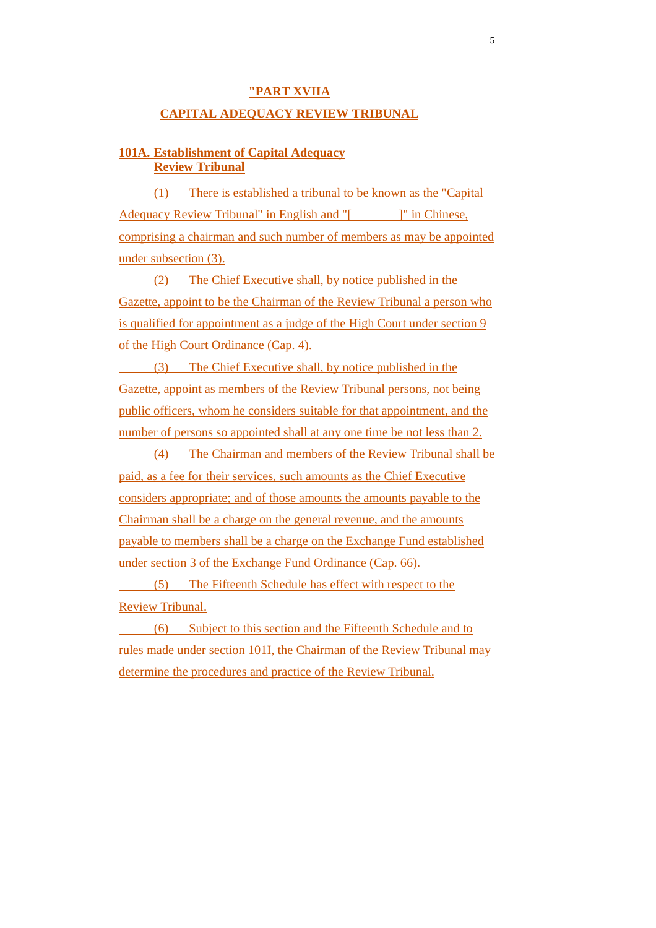### **"PART XVIIA**

#### **CAPITAL ADEQUACY REVIEW TRIBUNAL**

### **101A. Establishment of Capital Adequacy Review Tribunal**

 (1) There is established a tribunal to be known as the "Capital Adequacy Review Tribunal" in English and "[ ]" in Chinese, comprising a chairman and such number of members as may be appointed under subsection (3).

(2) The Chief Executive shall, by notice published in the Gazette, appoint to be the Chairman of the Review Tribunal a person who is qualified for appointment as a judge of the High Court under section 9 of the High Court Ordinance (Cap. 4).

 (3) The Chief Executive shall, by notice published in the Gazette, appoint as members of the Review Tribunal persons, not being public officers, whom he considers suitable for that appointment, and the number of persons so appointed shall at any one time be not less than 2.

 (4) The Chairman and members of the Review Tribunal shall be paid, as a fee for their services, such amounts as the Chief Executive considers appropriate; and of those amounts the amounts payable to the Chairman shall be a charge on the general revenue, and the amounts payable to members shall be a charge on the Exchange Fund established under section 3 of the Exchange Fund Ordinance (Cap. 66).

 (5) The Fifteenth Schedule has effect with respect to the Review Tribunal.

 (6) Subject to this section and the Fifteenth Schedule and to rules made under section 101I, the Chairman of the Review Tribunal may determine the procedures and practice of the Review Tribunal.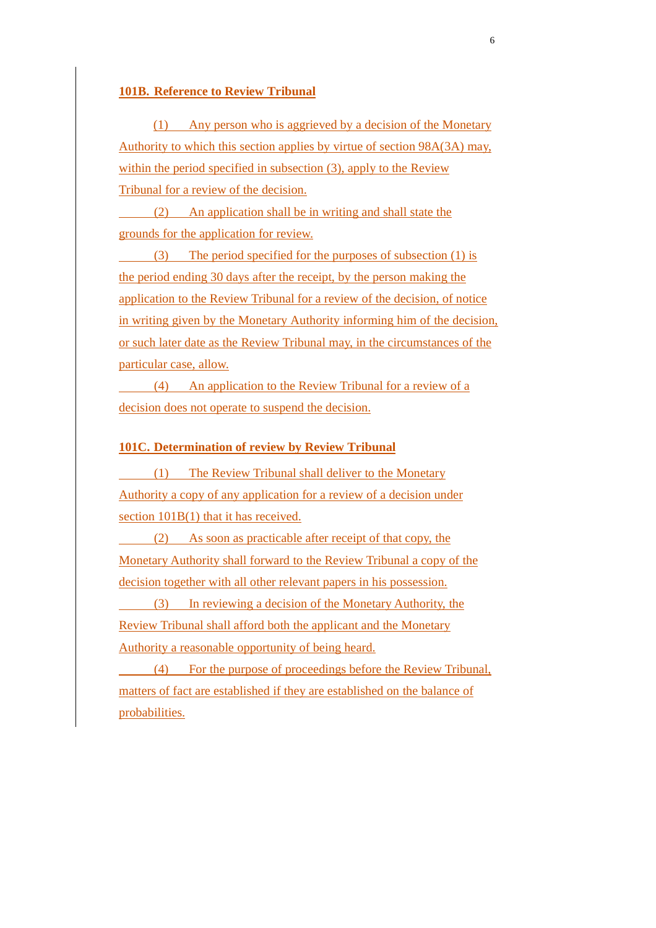#### **101B. Reference to Review Tribunal**

(1) Any person who is aggrieved by a decision of the Monetary Authority to which this section applies by virtue of section 98A(3A) may, within the period specified in subsection (3), apply to the Review Tribunal for a review of the decision.

 (2) An application shall be in writing and shall state the grounds for the application for review.

 (3) The period specified for the purposes of subsection (1) is the period ending 30 days after the receipt, by the person making the application to the Review Tribunal for a review of the decision, of notice in writing given by the Monetary Authority informing him of the decision, or such later date as the Review Tribunal may, in the circumstances of the particular case, allow.

 (4) An application to the Review Tribunal for a review of a decision does not operate to suspend the decision.

#### **101C. Determination of review by Review Tribunal**

 (1) The Review Tribunal shall deliver to the Monetary Authority a copy of any application for a review of a decision under section  $101B(1)$  that it has received.

 (2) As soon as practicable after receipt of that copy, the Monetary Authority shall forward to the Review Tribunal a copy of the decision together with all other relevant papers in his possession.

 (3) In reviewing a decision of the Monetary Authority, the Review Tribunal shall afford both the applicant and the Monetary Authority a reasonable opportunity of being heard.

 (4) For the purpose of proceedings before the Review Tribunal, matters of fact are established if they are established on the balance of probabilities.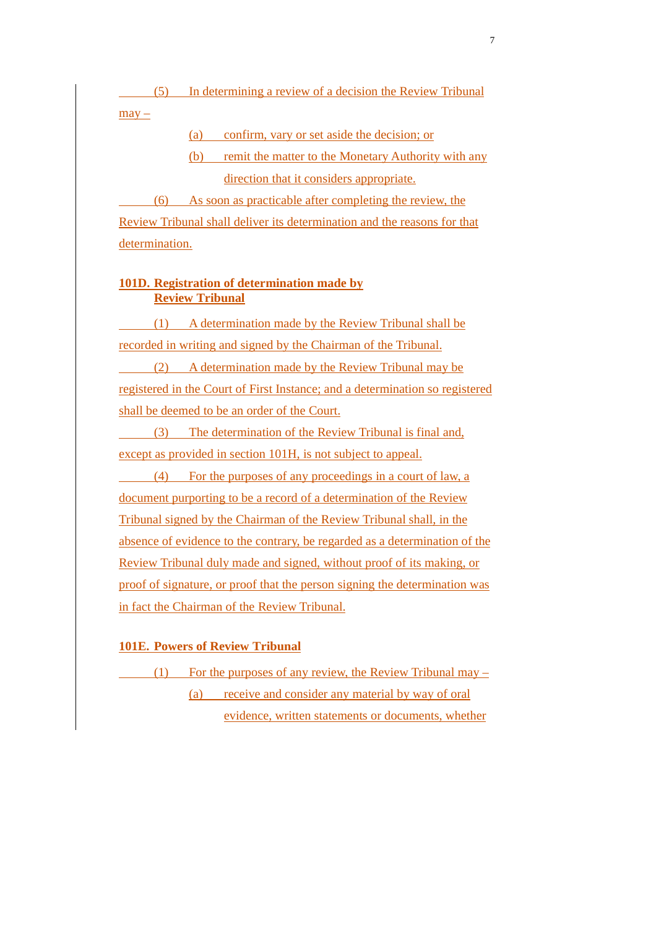(5) In determining a review of a decision the Review Tribunal

 $may -$ 

(a) confirm, vary or set aside the decision; or

(b) remit the matter to the Monetary Authority with any direction that it considers appropriate.

 (6) As soon as practicable after completing the review, the Review Tribunal shall deliver its determination and the reasons for that determination.

### **101D. Registration of determination made by Review Tribunal**

 (1) A determination made by the Review Tribunal shall be recorded in writing and signed by the Chairman of the Tribunal. (2) A determination made by the Review Tribunal may be registered in the Court of First Instance; and a determination so registered shall be deemed to be an order of the Court.

 (3) The determination of the Review Tribunal is final and, except as provided in section 101H, is not subject to appeal.

 (4) For the purposes of any proceedings in a court of law, a document purporting to be a record of a determination of the Review Tribunal signed by the Chairman of the Review Tribunal shall, in the absence of evidence to the contrary, be regarded as a determination of the Review Tribunal duly made and signed, without proof of its making, or proof of signature, or proof that the person signing the determination was in fact the Chairman of the Review Tribunal.

### **101E. Powers of Review Tribunal**

(1) For the purposes of any review, the Review Tribunal may  $-$ (a) receive and consider any material by way of oral evidence, written statements or documents, whether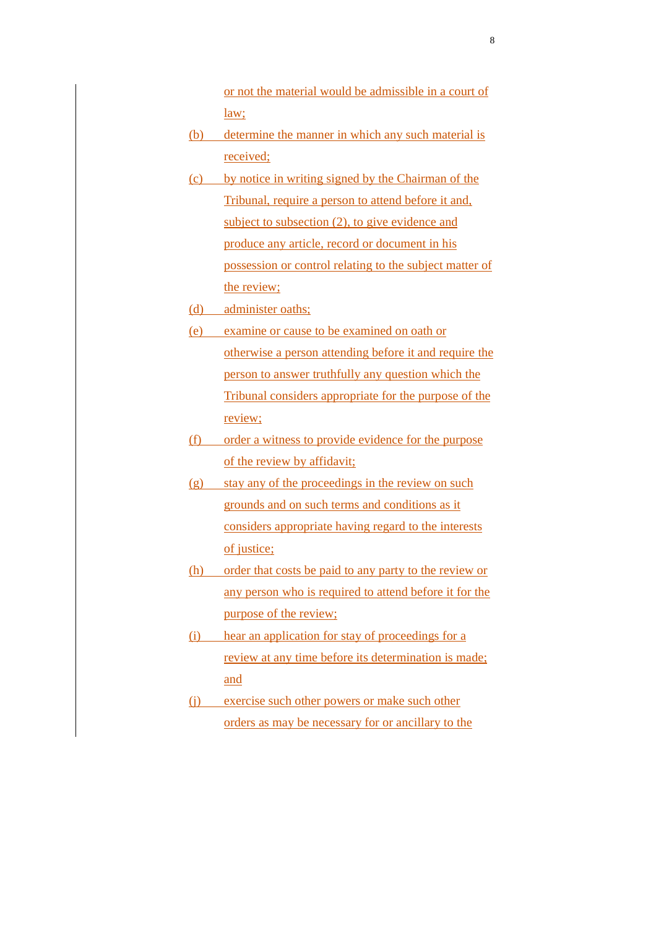or not the material would be admissible in a court of law;

- (b) determine the manner in which any such material is received;
- (c) by notice in writing signed by the Chairman of the Tribunal, require a person to attend before it and, subject to subsection (2), to give evidence and produce any article, record or document in his possession or control relating to the subject matter of the review;
- (d) administer oaths;
- (e) examine or cause to be examined on oath or otherwise a person attending before it and require the person to answer truthfully any question which the Tribunal considers appropriate for the purpose of the review;
- (f) order a witness to provide evidence for the purpose of the review by affidavit;
- (g) stay any of the proceedings in the review on such grounds and on such terms and conditions as it considers appropriate having regard to the interests of justice;
- (h) order that costs be paid to any party to the review or any person who is required to attend before it for the purpose of the review;
- (i) hear an application for stay of proceedings for a review at any time before its determination is made; and
- (j) exercise such other powers or make such other orders as may be necessary for or ancillary to the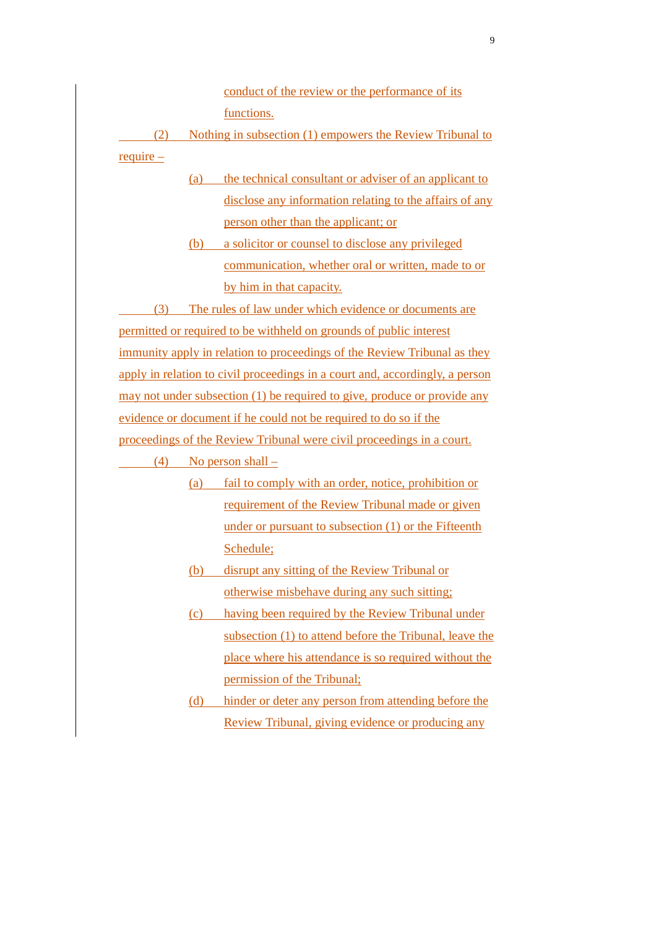conduct of the review or the performance of its functions.

 (2) Nothing in subsection (1) empowers the Review Tribunal to require –

- (a) the technical consultant or adviser of an applicant to disclose any information relating to the affairs of any person other than the applicant; or
- (b) a solicitor or counsel to disclose any privileged communication, whether oral or written, made to or by him in that capacity.

 (3) The rules of law under which evidence or documents are permitted or required to be withheld on grounds of public interest immunity apply in relation to proceedings of the Review Tribunal as they apply in relation to civil proceedings in a court and, accordingly, a person may not under subsection (1) be required to give, produce or provide any evidence or document if he could not be required to do so if the proceedings of the Review Tribunal were civil proceedings in a court.

 $(4)$  No person shall –

- (a) fail to comply with an order, notice, prohibition or requirement of the Review Tribunal made or given under or pursuant to subsection (1) or the Fifteenth Schedule;
- (b) disrupt any sitting of the Review Tribunal or otherwise misbehave during any such sitting;
- (c) having been required by the Review Tribunal under subsection (1) to attend before the Tribunal, leave the place where his attendance is so required without the permission of the Tribunal;
- (d) hinder or deter any person from attending before the Review Tribunal, giving evidence or producing any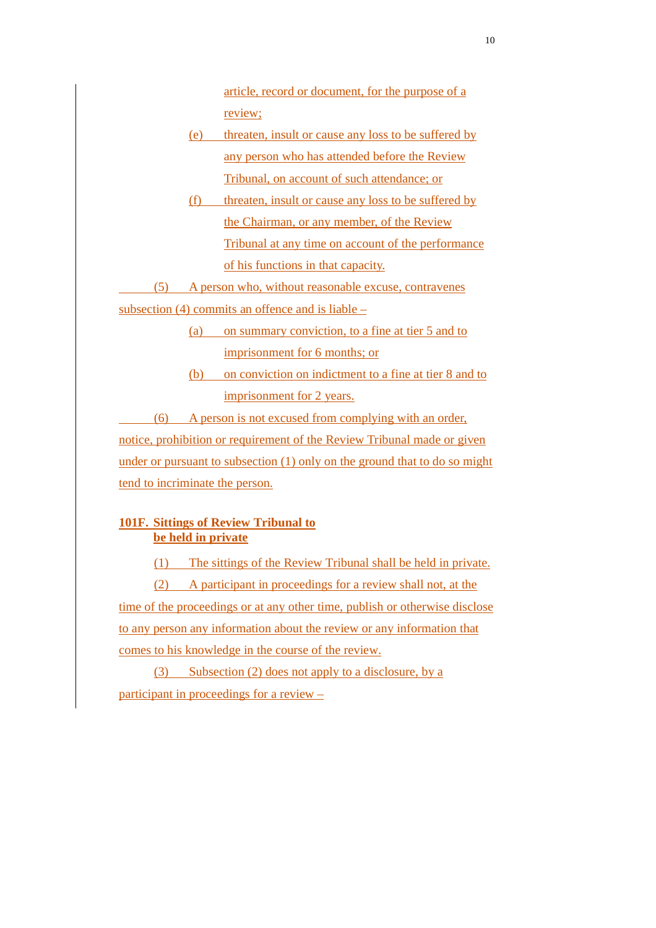article, record or document, for the purpose of a review;

- (e) threaten, insult or cause any loss to be suffered by any person who has attended before the Review Tribunal, on account of such attendance; or
- (f) threaten, insult or cause any loss to be suffered by the Chairman, or any member, of the Review Tribunal at any time on account of the performance of his functions in that capacity.

(5) A person who, without reasonable excuse, contravenes

subsection (4) commits an offence and is liable –

(a) on summary conviction, to a fine at tier 5 and to imprisonment for 6 months; or

(b) on conviction on indictment to a fine at tier 8 and to imprisonment for 2 years.

 (6) A person is not excused from complying with an order, notice, prohibition or requirement of the Review Tribunal made or given under or pursuant to subsection (1) only on the ground that to do so might tend to incriminate the person.

# **101F. Sittings of Review Tribunal to be held in private**

(1) The sittings of the Review Tribunal shall be held in private.

(2) A participant in proceedings for a review shall not, at the time of the proceedings or at any other time, publish or otherwise disclose to any person any information about the review or any information that comes to his knowledge in the course of the review.

(3) Subsection (2) does not apply to a disclosure, by a participant in proceedings for a review –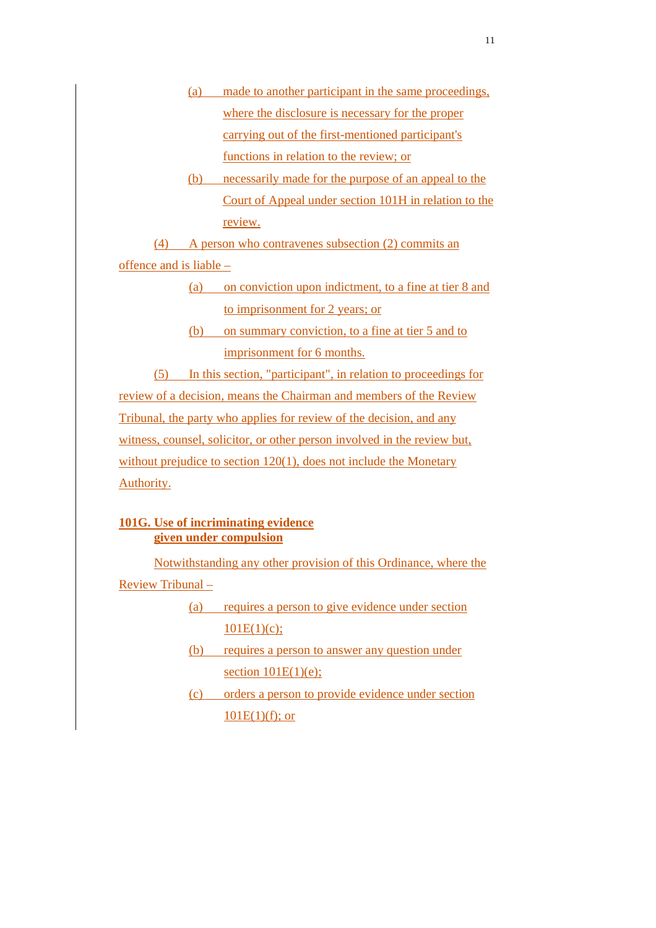- (a) made to another participant in the same proceedings, where the disclosure is necessary for the proper carrying out of the first-mentioned participant's functions in relation to the review; or
- (b) necessarily made for the purpose of an appeal to the Court of Appeal under section 101H in relation to the review.

(4) A person who contravenes subsection (2) commits an offence and is liable –

- (a) on conviction upon indictment, to a fine at tier 8 and to imprisonment for 2 years; or
- (b) on summary conviction, to a fine at tier 5 and to imprisonment for 6 months.

(5) In this section, "participant", in relation to proceedings for review of a decision, means the Chairman and members of the Review Tribunal, the party who applies for review of the decision, and any witness, counsel, solicitor, or other person involved in the review but, without prejudice to section 120(1), does not include the Monetary Authority.

# **101G. Use of incriminating evidence given under compulsion**

Notwithstanding any other provision of this Ordinance, where the Review Tribunal –

- (a) requires a person to give evidence under section  $101E(1)(c);$
- (b) requires a person to answer any question under section  $101E(1)(e)$ ;
- (c) orders a person to provide evidence under section  $10\underline{1E(1)}(f)$ ; or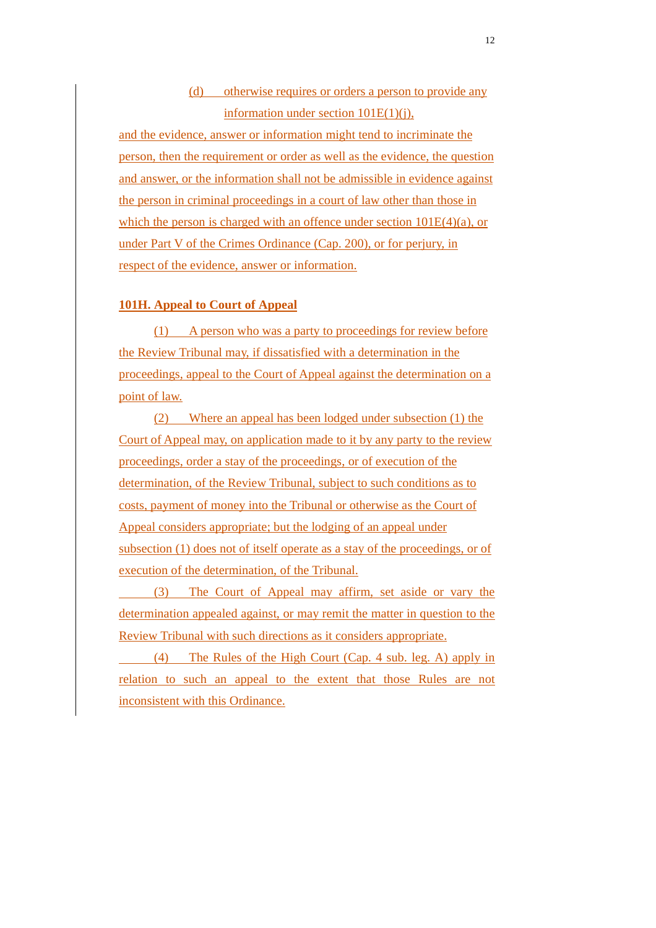# (d) otherwise requires or orders a person to provide any information under section 101E(1)(j),

and the evidence, answer or information might tend to incriminate the person, then the requirement or order as well as the evidence, the question and answer, or the information shall not be admissible in evidence against the person in criminal proceedings in a court of law other than those in which the person is charged with an offence under section  $101E(4)(a)$ , or under Part V of the Crimes Ordinance (Cap. 200), or for perjury, in respect of the evidence, answer or information.

#### **101H. Appeal to Court of Appeal**

(1) A person who was a party to proceedings for review before the Review Tribunal may, if dissatisfied with a determination in the proceedings, appeal to the Court of Appeal against the determination on a point of law.

(2) Where an appeal has been lodged under subsection (1) the Court of Appeal may, on application made to it by any party to the review proceedings, order a stay of the proceedings, or of execution of the determination, of the Review Tribunal, subject to such conditions as to costs, payment of money into the Tribunal or otherwise as the Court of Appeal considers appropriate; but the lodging of an appeal under subsection (1) does not of itself operate as a stay of the proceedings, or of execution of the determination, of the Tribunal.

 (3) The Court of Appeal may affirm, set aside or vary the determination appealed against, or may remit the matter in question to the Review Tribunal with such directions as it considers appropriate.

 (4) The Rules of the High Court (Cap. 4 sub. leg. A) apply in relation to such an appeal to the extent that those Rules are not inconsistent with this Ordinance.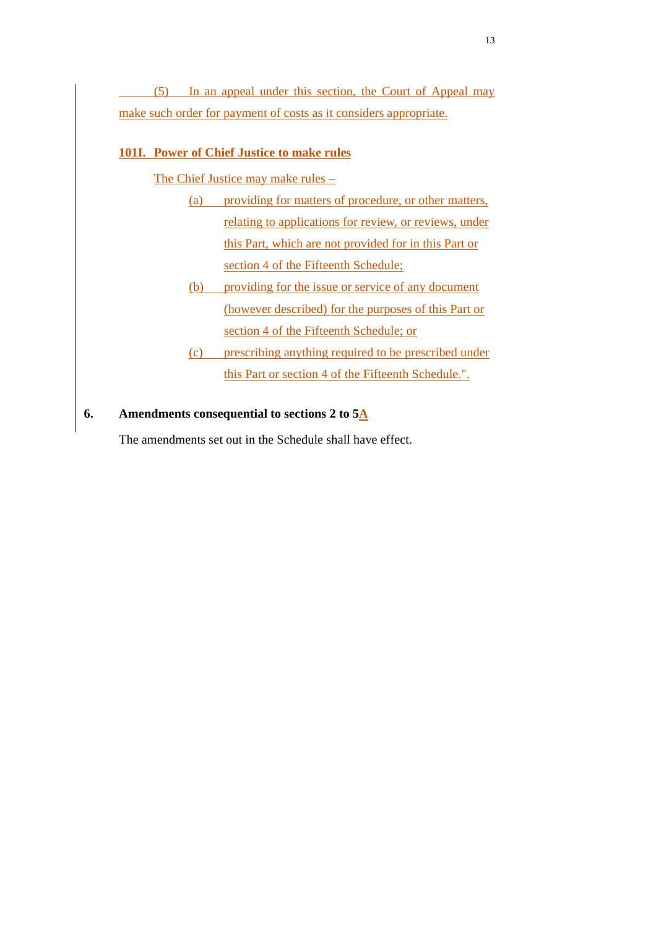(5) In an appeal under this section, the Court of Appeal may make such order for payment of costs as it considers appropriate.

# **101I. Power of Chief Justice to make rules**

The Chief Justice may make rules –

- (a) providing for matters of procedure, or other matters, relating to applications for review, or reviews, under this Part, which are not provided for in this Part or section 4 of the Fifteenth Schedule;
- (b) providing for the issue or service of any document (however described) for the purposes of this Part or section 4 of the Fifteenth Schedule; or
- (c) prescribing anything required to be prescribed under this Part or section 4 of the Fifteenth Schedule.".

# **6. Amendments consequential to sections 2 to 5A**

The amendments set out in the Schedule shall have effect.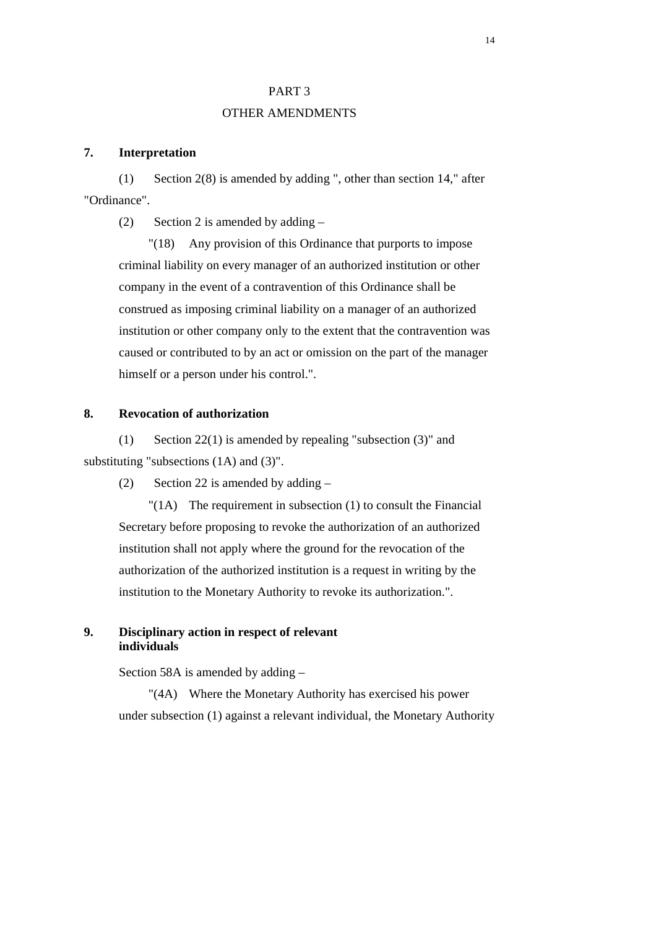#### PART 3

#### OTHER AMENDMENTS

### **7. Interpretation**

(1) Section 2(8) is amended by adding ", other than section 14," after "Ordinance".

(2) Section 2 is amended by adding  $-$ 

 "(18) Any provision of this Ordinance that purports to impose criminal liability on every manager of an authorized institution or other company in the event of a contravention of this Ordinance shall be construed as imposing criminal liability on a manager of an authorized institution or other company only to the extent that the contravention was caused or contributed to by an act or omission on the part of the manager himself or a person under his control.".

#### **8. Revocation of authorization**

(1) Section 22(1) is amended by repealing "subsection (3)" and substituting "subsections (1A) and (3)".

(2) Section 22 is amended by adding –

 "(1A) The requirement in subsection (1) to consult the Financial Secretary before proposing to revoke the authorization of an authorized institution shall not apply where the ground for the revocation of the authorization of the authorized institution is a request in writing by the institution to the Monetary Authority to revoke its authorization.".

#### **9. Disciplinary action in respect of relevant individuals**

Section 58A is amended by adding –

 "(4A) Where the Monetary Authority has exercised his power under subsection (1) against a relevant individual, the Monetary Authority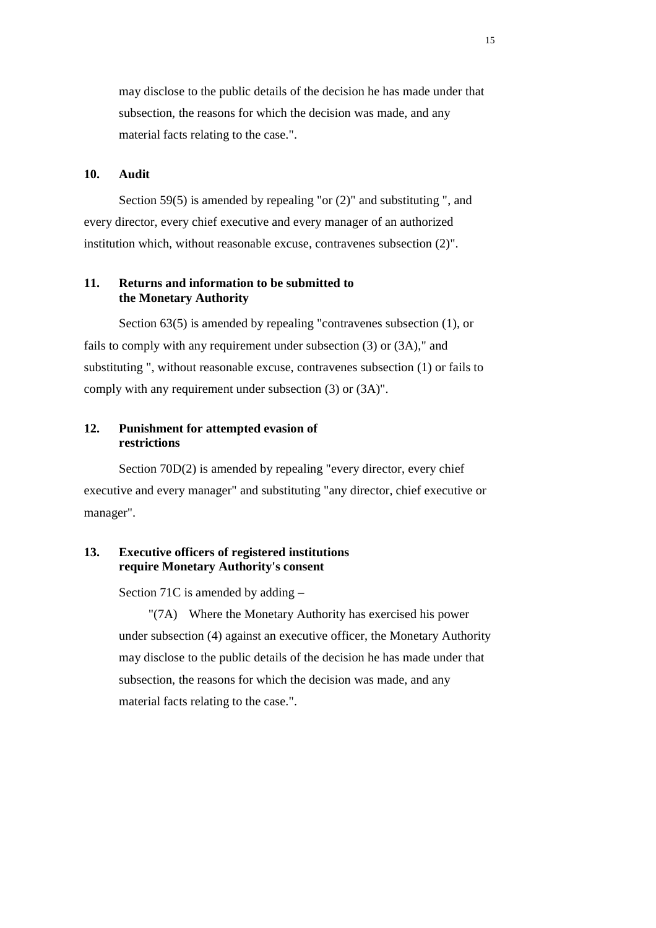may disclose to the public details of the decision he has made under that subsection, the reasons for which the decision was made, and any material facts relating to the case.".

#### **10. Audit**

 Section 59(5) is amended by repealing "or (2)" and substituting ", and every director, every chief executive and every manager of an authorized institution which, without reasonable excuse, contravenes subsection (2)".

### **11. Returns and information to be submitted to the Monetary Authority**

 Section 63(5) is amended by repealing "contravenes subsection (1), or fails to comply with any requirement under subsection (3) or (3A)," and substituting ", without reasonable excuse, contravenes subsection (1) or fails to comply with any requirement under subsection (3) or (3A)".

#### **12. Punishment for attempted evasion of restrictions**

Section 70D(2) is amended by repealing "every director, every chief executive and every manager" and substituting "any director, chief executive or manager".

### **13. Executive officers of registered institutions require Monetary Authority's consent**

Section 71C is amended by adding –

 "(7A) Where the Monetary Authority has exercised his power under subsection (4) against an executive officer, the Monetary Authority may disclose to the public details of the decision he has made under that subsection, the reasons for which the decision was made, and any material facts relating to the case.".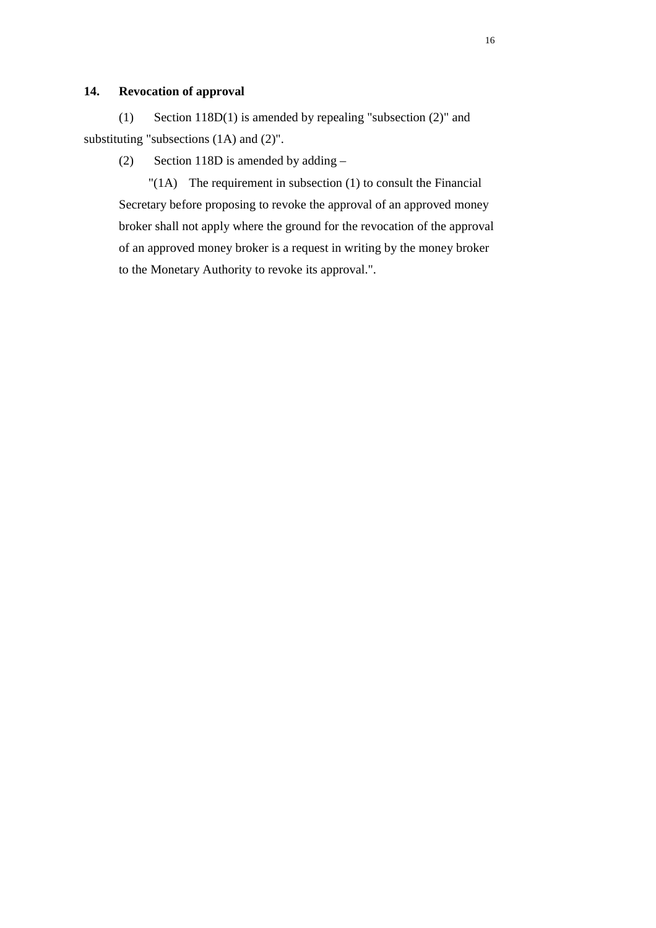# **14. Revocation of approval**

(1) Section 118D(1) is amended by repealing "subsection (2)" and substituting "subsections (1A) and (2)".

(2) Section 118D is amended by adding –

 "(1A) The requirement in subsection (1) to consult the Financial Secretary before proposing to revoke the approval of an approved money broker shall not apply where the ground for the revocation of the approval of an approved money broker is a request in writing by the money broker to the Monetary Authority to revoke its approval.".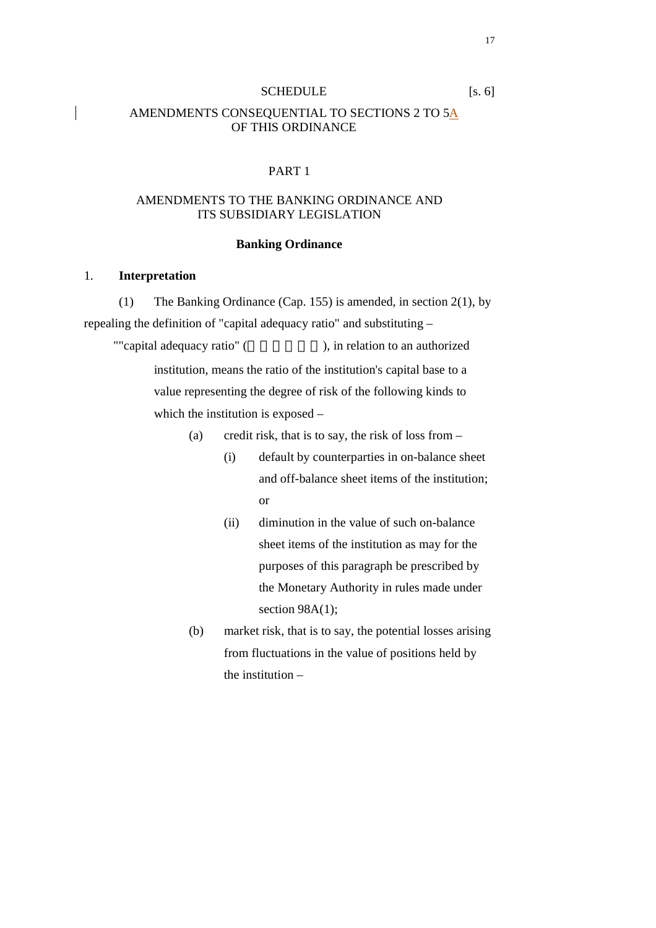#### SCHEDULE [s. 6]

#### AMENDMENTS CONSEQUENTIAL TO SECTIONS 2 TO 5A OF THIS ORDINANCE

#### PART 1

### AMENDMENTS TO THE BANKING ORDINANCE AND ITS SUBSIDIARY LEGISLATION

#### **Banking Ordinance**

#### 1. **Interpretation**

(1) The Banking Ordinance (Cap. 155) is amended, in section 2(1), by repealing the definition of "capital adequacy ratio" and substituting –

""capital adequacy ratio" (extending to an authorized ), in relation to an authorized institution, means the ratio of the institution's capital base to a value representing the degree of risk of the following kinds to which the institution is exposed –

- (a) credit risk, that is to say, the risk of loss from
	- (i) default by counterparties in on-balance sheet and off-balance sheet items of the institution; or
	- (ii) diminution in the value of such on-balance sheet items of the institution as may for the purposes of this paragraph be prescribed by the Monetary Authority in rules made under section 98A(1);
- (b) market risk, that is to say, the potential losses arising from fluctuations in the value of positions held by the institution –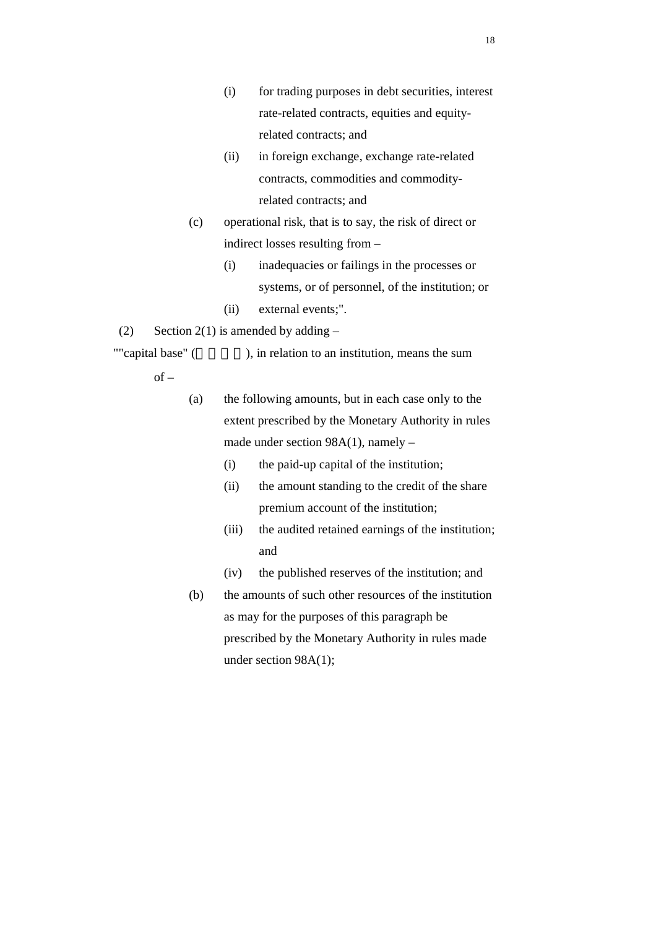- (i) for trading purposes in debt securities, interest rate-related contracts, equities and equityrelated contracts; and
- (ii) in foreign exchange, exchange rate-related contracts, commodities and commodityrelated contracts; and
- (c) operational risk, that is to say, the risk of direct or indirect losses resulting from –
	- (i) inadequacies or failings in the processes or systems, or of personnel, of the institution; or
	- (ii) external events;".
- (2) Section 2(1) is amended by adding  $-$

""capital base" (), in relation to an institution, means the sum

 $of -$ 

(a) the following amounts, but in each case only to the extent prescribed by the Monetary Authority in rules made under section 98A(1), namely –

- (i) the paid-up capital of the institution;
- (ii) the amount standing to the credit of the share premium account of the institution;
- (iii) the audited retained earnings of the institution; and
- (iv) the published reserves of the institution; and
- (b) the amounts of such other resources of the institution as may for the purposes of this paragraph be prescribed by the Monetary Authority in rules made under section 98A(1);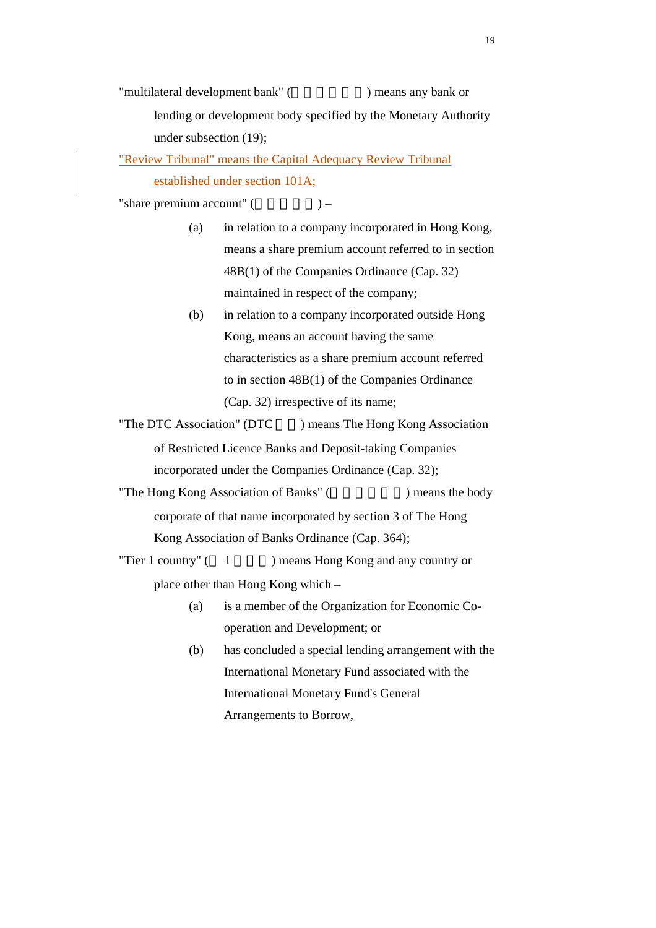"multilateral development bank" (  $\Box$ ) means any bank or lending or development body specified by the Monetary Authority under subsection (19);

"Review Tribunal" means the Capital Adequacy Review Tribunal established under section 101A;

"share premium account"  $($ ) –

- (a) in relation to a company incorporated in Hong Kong, means a share premium account referred to in section 48B(1) of the Companies Ordinance (Cap. 32) maintained in respect of the company;
- (b) in relation to a company incorporated outside Hong Kong, means an account having the same characteristics as a share premium account referred to in section 48B(1) of the Companies Ordinance (Cap. 32) irrespective of its name;

"The DTC Association" (DTC ) means The Hong Kong Association of Restricted Licence Banks and Deposit-taking Companies incorporated under the Companies Ordinance (Cap. 32);

"The Hong Kong Association of Banks" (The Hong Kong Association of Banks" (Separation 2015) means the body corporate of that name incorporated by section 3 of The Hong Kong Association of Banks Ordinance (Cap. 364);

"Tier 1 country"  $(1)$  means Hong Kong and any country or

place other than Hong Kong which –

- (a) is a member of the Organization for Economic Cooperation and Development; or
- (b) has concluded a special lending arrangement with the International Monetary Fund associated with the International Monetary Fund's General Arrangements to Borrow,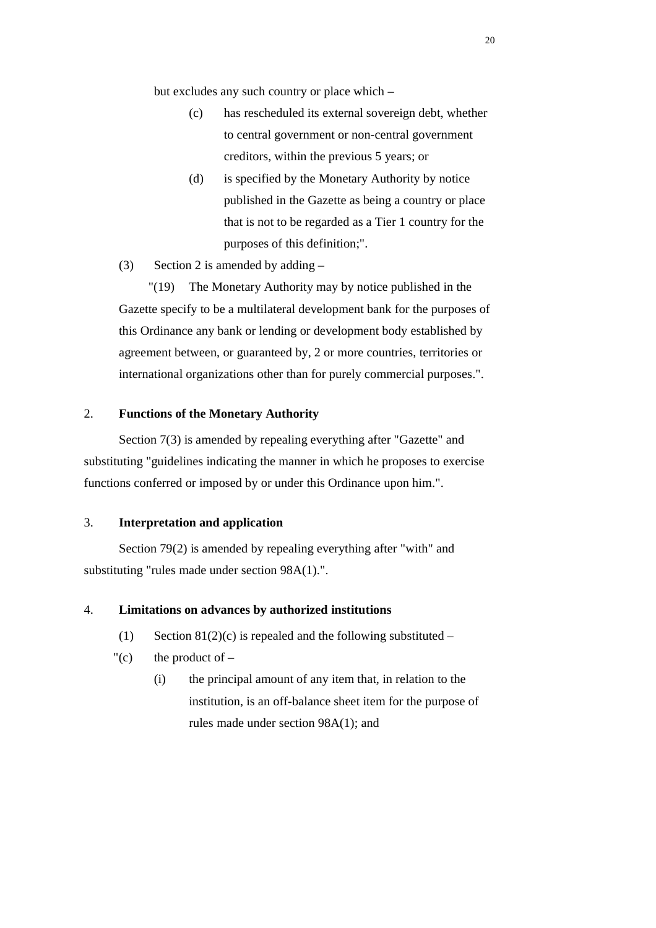but excludes any such country or place which –

- (c) has rescheduled its external sovereign debt, whether to central government or non-central government creditors, within the previous 5 years; or
- (d) is specified by the Monetary Authority by notice published in the Gazette as being a country or place that is not to be regarded as a Tier 1 country for the purposes of this definition;".
- (3) Section 2 is amended by adding  $-$

 "(19) The Monetary Authority may by notice published in the Gazette specify to be a multilateral development bank for the purposes of this Ordinance any bank or lending or development body established by agreement between, or guaranteed by, 2 or more countries, territories or international organizations other than for purely commercial purposes.".

#### 2. **Functions of the Monetary Authority**

Section 7(3) is amended by repealing everything after "Gazette" and substituting "guidelines indicating the manner in which he proposes to exercise functions conferred or imposed by or under this Ordinance upon him.".

#### 3. **Interpretation and application**

Section 79(2) is amended by repealing everything after "with" and substituting "rules made under section 98A(1).".

#### 4. **Limitations on advances by authorized institutions**

- (1) Section  $81(2)(c)$  is repealed and the following substituted –
- "(c) the product of  $-$ 
	- (i) the principal amount of any item that, in relation to the institution, is an off-balance sheet item for the purpose of rules made under section 98A(1); and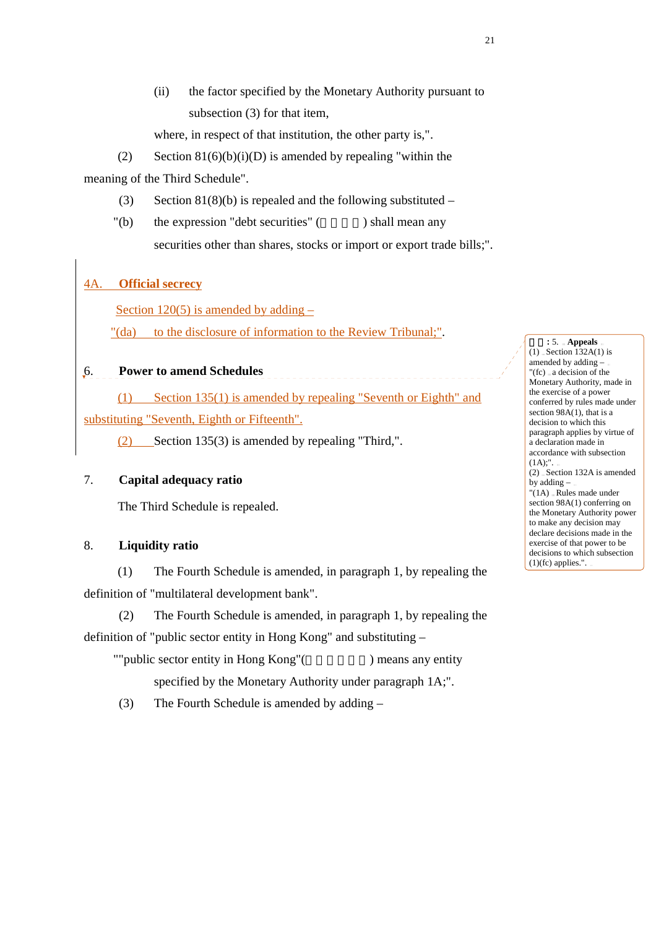(ii) the factor specified by the Monetary Authority pursuant to subsection (3) for that item,

where, in respect of that institution, the other party is,".

(2) Section  $81(6)(b)(i)(D)$  is amended by repealing "within the meaning of the Third Schedule".

- (3) Section  $81(8)(b)$  is repealed and the following substituted –
- $"$ (b) the expression "debt securities" ( $\qquad \qquad$ ) shall mean any securities other than shares, stocks or import or export trade bills;".

# 4A. **Official secrecy**

Section  $120(5)$  is amended by adding  $-$ 

"(da) to the disclosure of information to the Review Tribunal;".

### 6. **Power to amend Schedules**

(1) Section 135(1) is amended by repealing "Seventh or Eighth" and substituting "Seventh, Eighth or Fifteenth".

(2) Section 135(3) is amended by repealing "Third,".

#### 7. **Capital adequacy ratio**

The Third Schedule is repealed.

### 8. **Liquidity ratio**

(1) The Fourth Schedule is amended, in paragraph 1, by repealing the definition of "multilateral development bank".

(2) The Fourth Schedule is amended, in paragraph 1, by repealing the definition of "public sector entity in Hong Kong" and substituting –

""public sector entity in Hong Kong"(and ) means any entity

specified by the Monetary Authority under paragraph 1A;".

(3) The Fourth Schedule is amended by adding –

刪除**:** 5. **Appeals**  $(1)$  Section 132A $(1)$  is amended by adding – "(fc) a decision of the Monetary Authority, made in the exercise of a power conferred by rules made under section 98A(1), that is a decision to which this paragraph applies by virtue of a declaration made in accordance with subsection  $(1A)$ ;".  $(2)$  - Section 132A is amended by adding – "(1A) Rules made under section 98A(1) conferring on the Monetary Authority power to make any decision may declare decisions made in the exercise of that power to be decisions to which subsection

 $(1)(fc)$  applies.".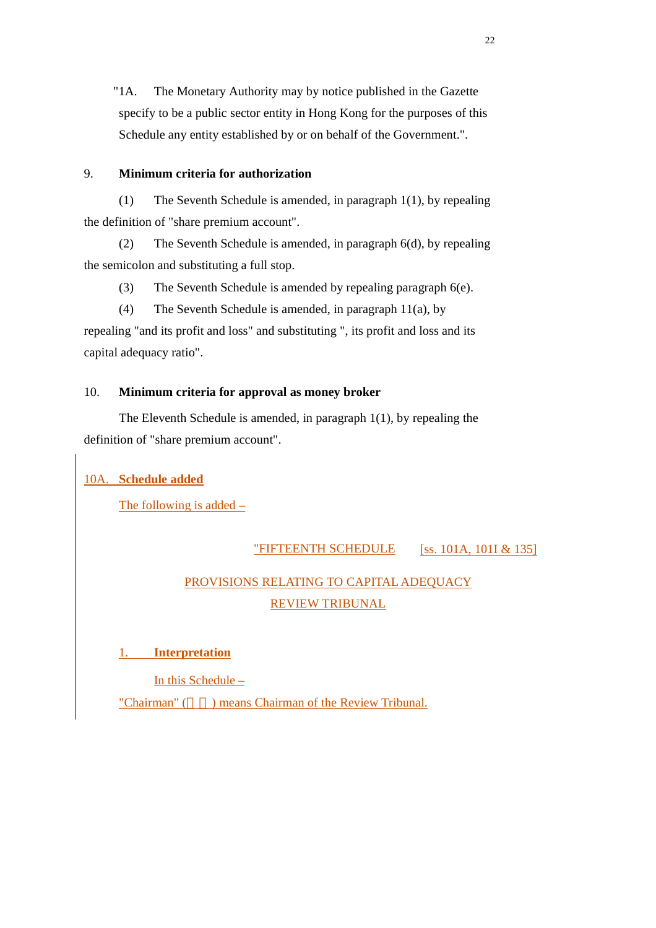"1A. The Monetary Authority may by notice published in the Gazette specify to be a public sector entity in Hong Kong for the purposes of this Schedule any entity established by or on behalf of the Government.".

### 9. **Minimum criteria for authorization**

(1) The Seventh Schedule is amended, in paragraph 1(1), by repealing the definition of "share premium account".

(2) The Seventh Schedule is amended, in paragraph 6(d), by repealing the semicolon and substituting a full stop.

(3) The Seventh Schedule is amended by repealing paragraph 6(e).

(4) The Seventh Schedule is amended, in paragraph 11(a), by repealing "and its profit and loss" and substituting ", its profit and loss and its capital adequacy ratio".

### 10. **Minimum criteria for approval as money broker**

The Eleventh Schedule is amended, in paragraph 1(1), by repealing the definition of "share premium account".

### 10A. **Schedule added**

The following is added –

### "FIFTEENTH SCHEDULE [SS. 101A, 101I & 135]

# PROVISIONS RELATING TO CAPITAL ADEQUACY REVIEW TRIBUNAL

# 1. **Interpretation**

In this Schedule –

"Chairman" () means Chairman of the Review Tribunal.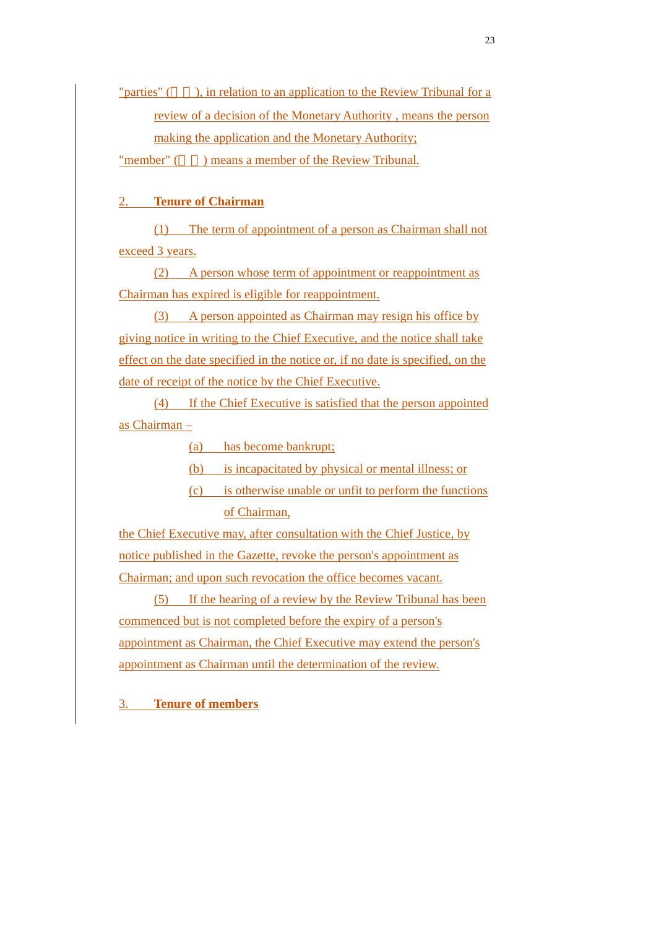"parties" (), in relation to an application to the Review Tribunal for a review of a decision of the Monetary Authority , means the person making the application and the Monetary Authority;

"member" () means a member of the Review Tribunal.

### 2. **Tenure of Chairman**

(1) The term of appointment of a person as Chairman shall not exceed 3 years.

(2) A person whose term of appointment or reappointment as Chairman has expired is eligible for reappointment.

(3) A person appointed as Chairman may resign his office by giving notice in writing to the Chief Executive, and the notice shall take effect on the date specified in the notice or, if no date is specified, on the date of receipt of the notice by the Chief Executive.

(4) If the Chief Executive is satisfied that the person appointed as Chairman –

(a) has become bankrupt;

(b) is incapacitated by physical or mental illness; or

(c) is otherwise unable or unfit to perform the functions of Chairman,

the Chief Executive may, after consultation with the Chief Justice, by notice published in the Gazette, revoke the person's appointment as Chairman; and upon such revocation the office becomes vacant.

(5) If the hearing of a review by the Review Tribunal has been commenced but is not completed before the expiry of a person's appointment as Chairman, the Chief Executive may extend the person's appointment as Chairman until the determination of the review.

3. **Tenure of members**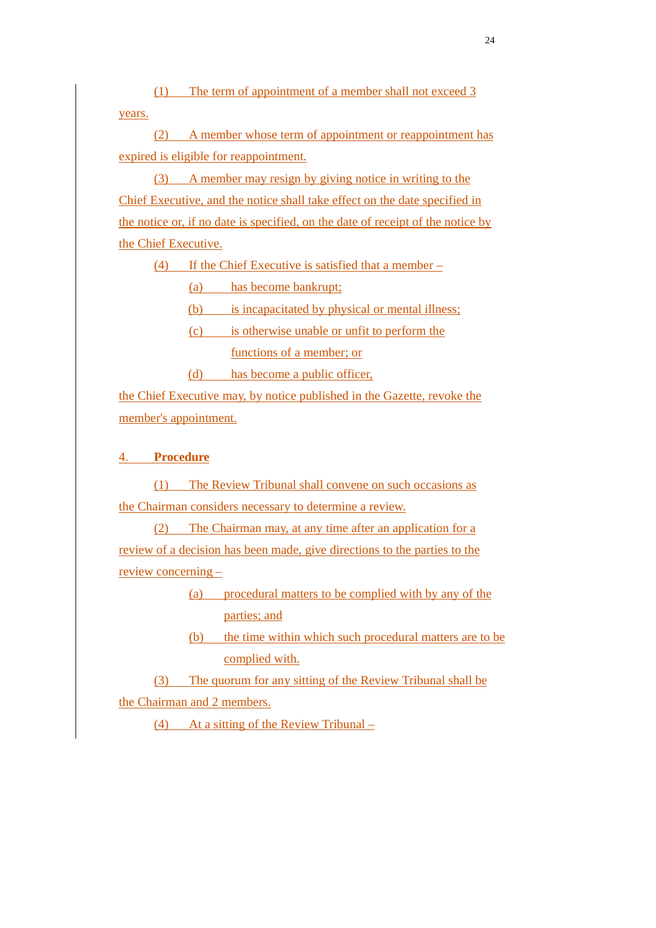(1) The term of appointment of a member shall not exceed 3 years.

(2) A member whose term of appointment or reappointment has expired is eligible for reappointment.

(3) A member may resign by giving notice in writing to the Chief Executive, and the notice shall take effect on the date specified in the notice or, if no date is specified, on the date of receipt of the notice by the Chief Executive.

(4) If the Chief Executive is satisfied that a member –

(a) has become bankrupt;

(b) is incapacitated by physical or mental illness;

(c) is otherwise unable or unfit to perform the functions of a member; or

(d) has become a public officer,

the Chief Executive may, by notice published in the Gazette, revoke the member's appointment.

# 4. **Procedure**

(1) The Review Tribunal shall convene on such occasions as the Chairman considers necessary to determine a review.

(2) The Chairman may, at any time after an application for a review of a decision has been made, give directions to the parties to the review concerning –

> (a) procedural matters to be complied with by any of the parties; and

(b) the time within which such procedural matters are to be complied with.

(3) The quorum for any sitting of the Review Tribunal shall be the Chairman and 2 members.

(4) At a sitting of the Review Tribunal –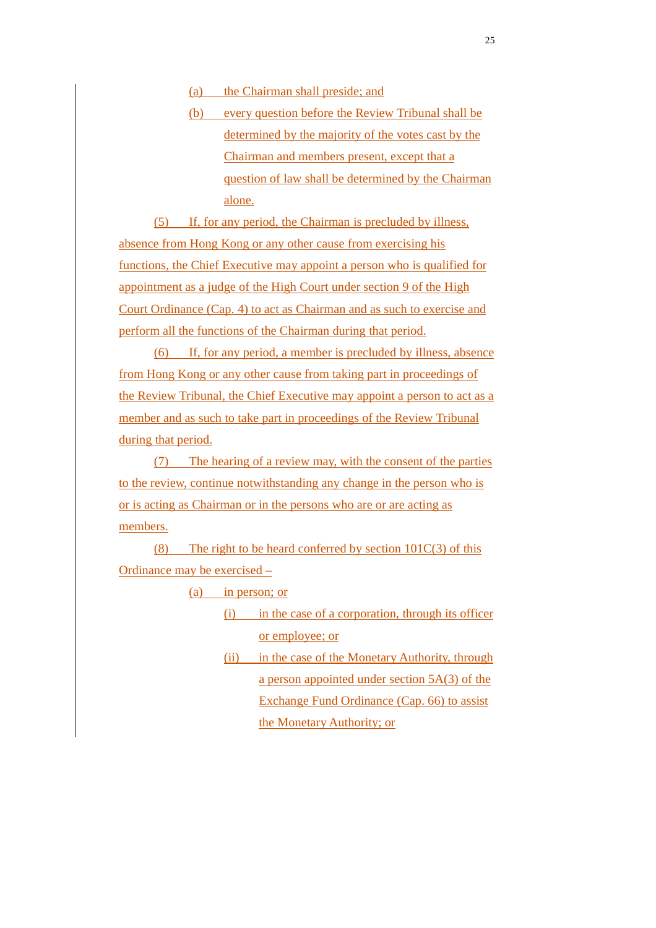(a) the Chairman shall preside; and

(b) every question before the Review Tribunal shall be determined by the majority of the votes cast by the Chairman and members present, except that a question of law shall be determined by the Chairman alone.

(5) If, for any period, the Chairman is precluded by illness, absence from Hong Kong or any other cause from exercising his functions, the Chief Executive may appoint a person who is qualified for appointment as a judge of the High Court under section 9 of the High Court Ordinance (Cap. 4) to act as Chairman and as such to exercise and perform all the functions of the Chairman during that period.

(6) If, for any period, a member is precluded by illness, absence from Hong Kong or any other cause from taking part in proceedings of the Review Tribunal, the Chief Executive may appoint a person to act as a member and as such to take part in proceedings of the Review Tribunal during that period.

(7) The hearing of a review may, with the consent of the parties to the review, continue notwithstanding any change in the person who is or is acting as Chairman or in the persons who are or are acting as members.

(8) The right to be heard conferred by section  $101C(3)$  of this Ordinance may be exercised –

(a) in person; or

- (i) in the case of a corporation, through its officer or employee; or
- (ii) in the case of the Monetary Authority, through a person appointed under section 5A(3) of the Exchange Fund Ordinance (Cap. 66) to assist the Monetary Authority; or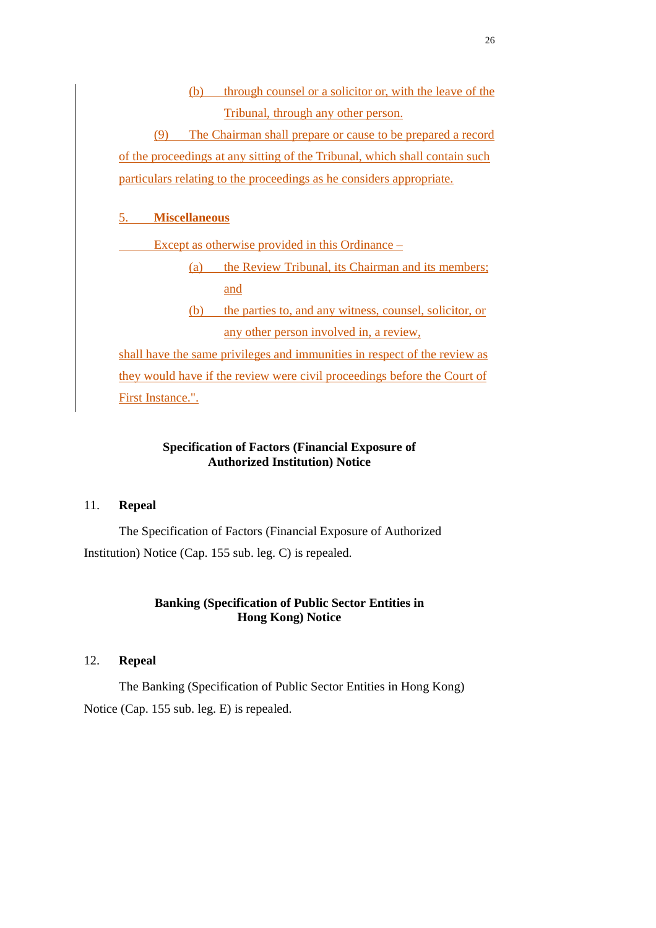(b) through counsel or a solicitor or, with the leave of the Tribunal, through any other person.

(9) The Chairman shall prepare or cause to be prepared a record of the proceedings at any sitting of the Tribunal, which shall contain such particulars relating to the proceedings as he considers appropriate.

### 5. **Miscellaneous**

Except as otherwise provided in this Ordinance –

(a) the Review Tribunal, its Chairman and its members; and

(b) the parties to, and any witness, counsel, solicitor, or any other person involved in, a review,

shall have the same privileges and immunities in respect of the review as they would have if the review were civil proceedings before the Court of First Instance.".

### **Specification of Factors (Financial Exposure of Authorized Institution) Notice**

#### 11. **Repeal**

The Specification of Factors (Financial Exposure of Authorized Institution) Notice (Cap. 155 sub. leg. C) is repealed.

### **Banking (Specification of Public Sector Entities in Hong Kong) Notice**

### 12. **Repeal**

The Banking (Specification of Public Sector Entities in Hong Kong) Notice (Cap. 155 sub. leg. E) is repealed.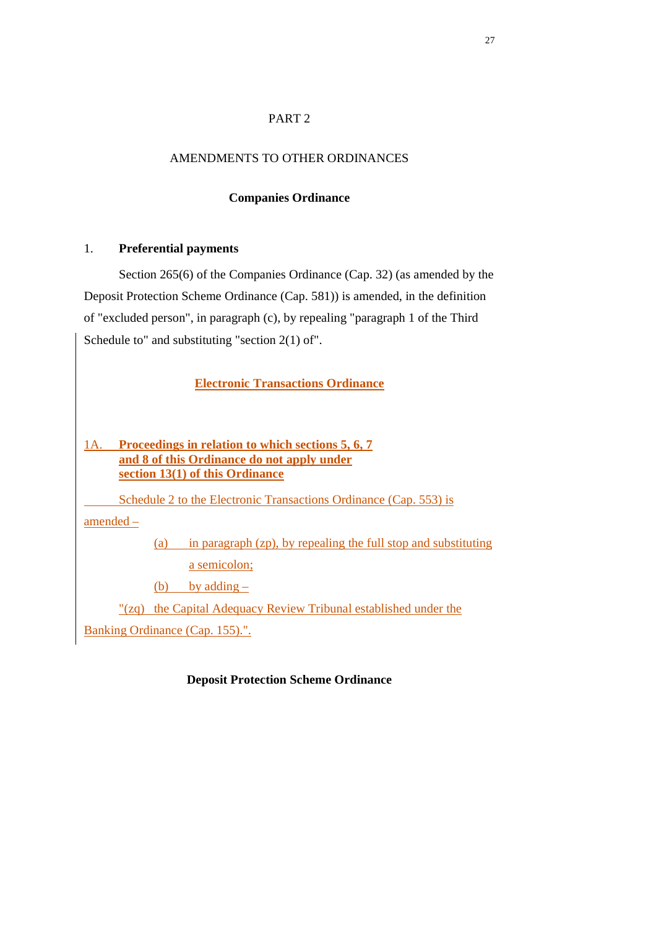### PART 2

### AMENDMENTS TO OTHER ORDINANCES

### **Companies Ordinance**

### 1. **Preferential payments**

Section 265(6) of the Companies Ordinance (Cap. 32) (as amended by the Deposit Protection Scheme Ordinance (Cap. 581)) is amended, in the definition of "excluded person", in paragraph (c), by repealing "paragraph 1 of the Third Schedule to" and substituting "section 2(1) of".

# **Electronic Transactions Ordinance**

# 1A. **Proceedings in relation to which sections 5, 6, 7 and 8 of this Ordinance do not apply under section 13(1) of this Ordinance**

Schedule 2 to the Electronic Transactions Ordinance (Cap. 553) is

amended –

(a) in paragraph (zp), by repealing the full stop and substituting a semicolon;

(b) by adding  $-$ 

"(zq) the Capital Adequacy Review Tribunal established under the

Banking Ordinance (Cap. 155).".

### **Deposit Protection Scheme Ordinance**